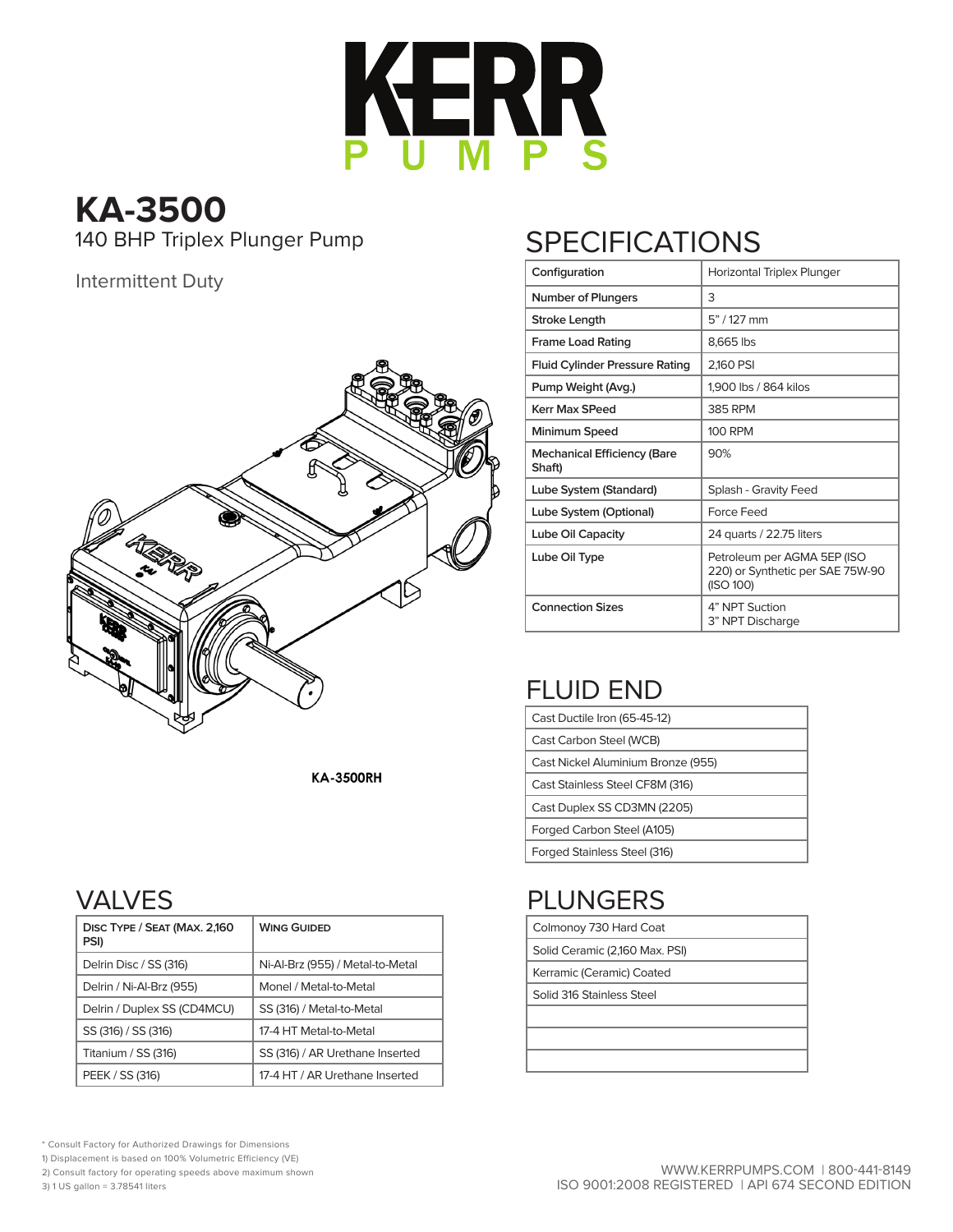

# **KA-3500**

#### Intermittent Duty



**KA-3500RH** 

#### VALVES

| DISC TYPE / SEAT (MAX. 2,160<br>PSI) | <b>WING GUIDED</b>               |
|--------------------------------------|----------------------------------|
| Delrin Disc / SS (316)               | Ni-Al-Brz (955) / Metal-to-Metal |
| Delrin / Ni-Al-Brz (955)             | Monel / Metal-to-Metal           |
| Delrin / Duplex SS (CD4MCU)          | SS (316) / Metal-to-Metal        |
| SS (316) / SS (316)                  | 17-4 HT Metal-to-Metal           |
| Titanium / SS (316)                  | SS (316) / AR Urethane Inserted  |
| PEEK / SS (316)                      | 17-4 HT / AR Urethane Inserted   |

## 140 BHP Triplex Plunger Pump SPECIFICATIONS

| Configuration                                | Horizontal Triplex Plunger                                                   |
|----------------------------------------------|------------------------------------------------------------------------------|
| <b>Number of Plungers</b>                    | 3                                                                            |
| Stroke Length                                | 5" / 127 mm                                                                  |
| <b>Frame Load Rating</b>                     | 8,665 lbs                                                                    |
| <b>Fluid Cylinder Pressure Rating</b>        | 2,160 PSI                                                                    |
| Pump Weight (Avg.)                           | 1,900 lbs / 864 kilos                                                        |
| <b>Kerr Max SPeed</b>                        | 385 RPM                                                                      |
| Minimum Speed                                | 100 RPM                                                                      |
| <b>Mechanical Efficiency (Bare</b><br>Shaft) | 90%                                                                          |
| Lube System (Standard)                       | Splash - Gravity Feed                                                        |
| Lube System (Optional)                       | <b>Force Feed</b>                                                            |
| Lube Oil Capacity                            | 24 quarts / 22.75 liters                                                     |
| Lube Oil Type                                | Petroleum per AGMA 5EP (ISO<br>220) or Synthetic per SAE 75W-90<br>(ISO 100) |
| <b>Connection Sizes</b>                      | 4" NPT Suction<br>3" NPT Discharge                                           |

## FLUID END

| Cast Ductile Iron (65-45-12)       |
|------------------------------------|
| Cast Carbon Steel (WCB)            |
| Cast Nickel Aluminium Bronze (955) |
| Cast Stainless Steel CF8M (316)    |
| Cast Duplex SS CD3MN (2205)        |
| Forged Carbon Steel (A105)         |
| Forged Stainless Steel (316)       |

## PLUNGERS

| Colmonoy 730 Hard Coat         |  |  |  |  |  |  |  |  |
|--------------------------------|--|--|--|--|--|--|--|--|
| Solid Ceramic (2,160 Max. PSI) |  |  |  |  |  |  |  |  |

Kerramic (Ceramic) Coated

Solid 316 Stainless Steel

\* Consult Factory for Authorized Drawings for Dimensions

1) Displacement is based on 100% Volumetric Efficiency (VE)

2) Consult factory for operating speeds above maximum shown

3) 1 US gallon = 3.78541 liters